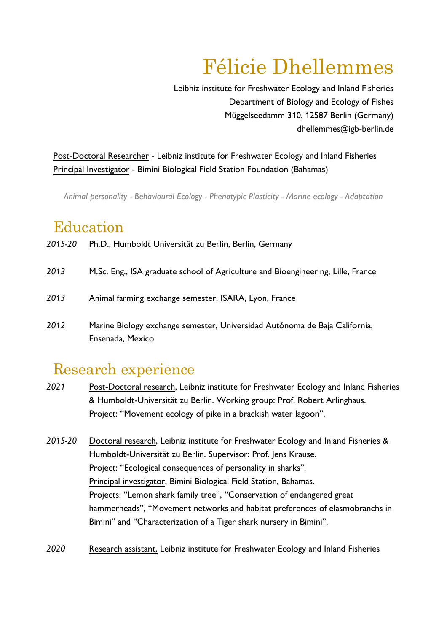# Félicie Dhellemmes

Leibniz institute for Freshwater Ecology and Inland Fisheries Department of Biology and Ecology of Fishes Müggelseedamm 310, 12587 Berlin (Germany) dhellemmes@igb-berlin.de

Post-Doctoral Researcher - Leibniz institute for Freshwater Ecology and Inland Fisheries Principal Investigator - Bimini Biological Field Station Foundation (Bahamas)

*Animal personality - Behavioural Ecology - Phenotypic Plasticity - Marine ecology - Adaptation*

### Education

*2015-20* Ph.D., Humboldt Universität zu Berlin, Berlin, Germany *2013 2013* M.Sc. Eng., ISA graduate school of Agriculture and Bioengineering, Lille, France Animal farming exchange semester, ISARA, Lyon, France *2012* Marine Biology exchange semester, Universidad Autónoma de Baja California, Ensenada, Mexico

# Research experience

- *2021* Post-Doctoral research, Leibniz institute for Freshwater Ecology and Inland Fisheries & Humboldt-Universität zu Berlin. Working group: Prof. Robert Arlinghaus. Project: "Movement ecology of pike in a brackish water lagoon".
- *2015-20* Doctoral research, Leibniz institute for Freshwater Ecology and Inland Fisheries & Humboldt-Universität zu Berlin. Supervisor: Prof. Jens Krause. Project: "Ecological consequences of personality in sharks". Principal investigator, Bimini Biological Field Station, Bahamas. Projects: "Lemon shark family tree", "Conservation of endangered great hammerheads", "Movement networks and habitat preferences of elasmobranchs in Bimini" and "Characterization of a Tiger shark nursery in Bimini".
- *2020* Research assistant, Leibniz institute for Freshwater Ecology and Inland Fisheries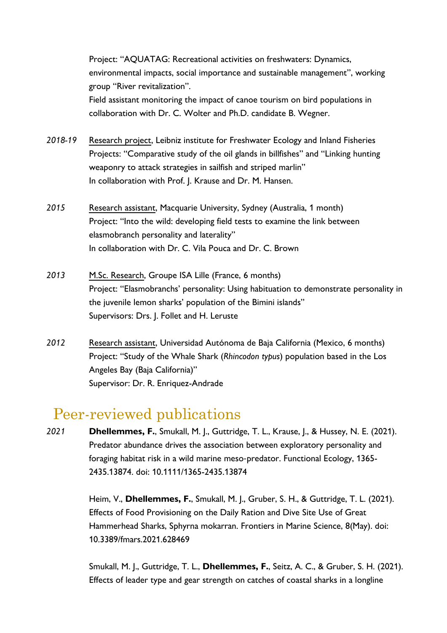Project: "AQUATAG: Recreational activities on freshwaters: Dynamics, environmental impacts, social importance and sustainable management", working group "River revitalization". Field assistant monitoring the impact of canoe tourism on bird populations in

*2018-19* Research project, Leibniz institute for Freshwater Ecology and Inland Fisheries Projects: "Comparative study of the oil glands in billfishes" and "Linking hunting weaponry to attack strategies in sailfish and striped marlin" In collaboration with Prof. J. Krause and Dr. M. Hansen.

collaboration with Dr. C. Wolter and Ph.D. candidate B. Wegner.

- *2015* Research assistant, Macquarie University, Sydney (Australia, 1 month) Project: "Into the wild: developing field tests to examine the link between elasmobranch personality and laterality" In collaboration with Dr. C. Vila Pouca and Dr. C. Brown
- *2013* M.Sc. Research, Groupe ISA Lille (France, 6 months) Project: "Elasmobranchs' personality: Using habituation to demonstrate personality in the juvenile lemon sharks' population of the Bimini islands" Supervisors: Drs. J. Follet and H. Leruste
- *2012* Research assistant, Universidad Autónoma de Baja California (Mexico, 6 months) Project: "Study of the Whale Shark (*Rhincodon typus*) population based in the Los Angeles Bay (Baja California)" Supervisor: Dr. R. Enriquez-Andrade

### Peer-reviewed publications

*2021* **Dhellemmes, F.**, Smukall, M. J., Guttridge, T. L., Krause, J., & Hussey, N. E. (2021). Predator abundance drives the association between exploratory personality and foraging habitat risk in a wild marine meso‐predator. Functional Ecology, 1365- 2435.13874. doi: 10.1111/1365-2435.13874

> Heim, V., **Dhellemmes, F.**, Smukall, M. J., Gruber, S. H., & Guttridge, T. L. (2021). Effects of Food Provisioning on the Daily Ration and Dive Site Use of Great Hammerhead Sharks, Sphyrna mokarran. Frontiers in Marine Science, 8(May). doi: 10.3389/fmars.2021.628469

Smukall, M. J., Guttridge, T. L., **Dhellemmes, F.**, Seitz, A. C., & Gruber, S. H. (2021). Effects of leader type and gear strength on catches of coastal sharks in a longline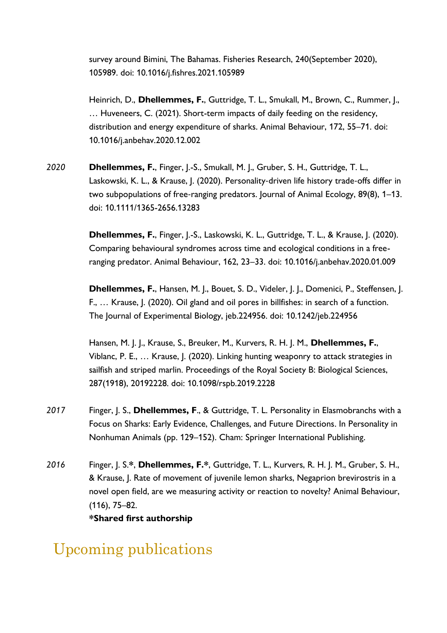survey around Bimini, The Bahamas. Fisheries Research, 240(September 2020), 105989. doi: 10.1016/j.fishres.2021.105989

Heinrich, D., **Dhellemmes, F.**, Guttridge, T. L., Smukall, M., Brown, C., Rummer, J., … Huveneers, C. (2021). Short-term impacts of daily feeding on the residency, distribution and energy expenditure of sharks. Animal Behaviour, 172, 55–71. doi: 10.1016/j.anbehav.2020.12.002

*2020* **Dhellemmes, F.**, Finger, J.-S., Smukall, M. J., Gruber, S. H., Guttridge, T. L., Laskowski, K. L., & Krause, J. (2020). Personality-driven life history trade-offs differ in two subpopulations of free‐ranging predators. Journal of Animal Ecology, 89(8), 1–13. doi: 10.1111/1365-2656.13283

> **Dhellemmes, F.**, Finger, J.-S., Laskowski, K. L., Guttridge, T. L., & Krause, J. (2020). Comparing behavioural syndromes across time and ecological conditions in a freeranging predator. Animal Behaviour, 162, 23–33. doi: 10.1016/j.anbehav.2020.01.009

**Dhellemmes, F.**, Hansen, M. J., Bouet, S. D., Videler, J. J., Domenici, P., Steffensen, J. F., … Krause, J. (2020). Oil gland and oil pores in billfishes: in search of a function. The Journal of Experimental Biology, jeb.224956. doi: 10.1242/jeb.224956

Hansen, M. J. J., Krause, S., Breuker, M., Kurvers, R. H. J. M., **Dhellemmes, F.**, Viblanc, P. E., … Krause, J. (2020). Linking hunting weaponry to attack strategies in sailfish and striped marlin. Proceedings of the Royal Society B: Biological Sciences, 287(1918), 20192228. doi: 10.1098/rspb.2019.2228

- *2017* Finger, J. S., **Dhellemmes, F**., & Guttridge, T. L. Personality in Elasmobranchs with a Focus on Sharks: Early Evidence, Challenges, and Future Directions. In Personality in Nonhuman Animals (pp. 129–152). Cham: Springer International Publishing.
- *2016* Finger, J. S.**\***, **Dhellemmes, F.\***, Guttridge, T. L., Kurvers, R. H. J. M., Gruber, S. H., & Krause, J. Rate of movement of juvenile lemon sharks, Negaprion brevirostris in a novel open field, are we measuring activity or reaction to novelty? Animal Behaviour, (116), 75–82.

**\*Shared first authorship**

# Upcoming publications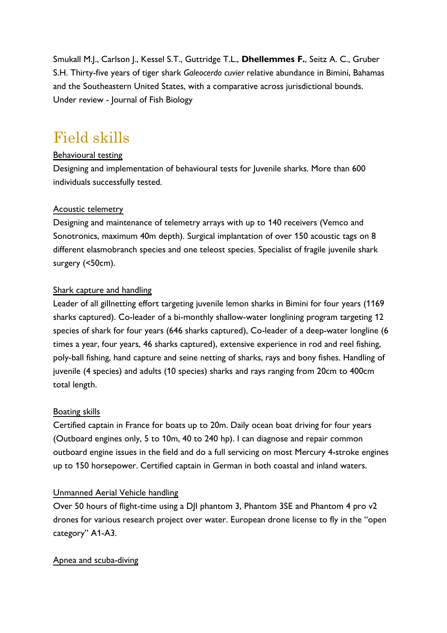Smukall M.J., Carlson J., Kessel S.T., Guttridge T.L., **Dhellemmes F.**, Seitz A. C., Gruber S.H. Thirty-five years of tiger shark *Galeocerdo cuvier* relative abundance in Bimini, Bahamas and the Southeastern United States, with a comparative across jurisdictional bounds. Under review - Journal of Fish Biology

# Field skills

#### Behavioural testing

Designing and implementation of behavioural tests for Juvenile sharks. More than 600 individuals successfully tested.

#### Acoustic telemetry

Designing and maintenance of telemetry arrays with up to 140 receivers (Vemco and Sonotronics, maximum 40m depth). Surgical implantation of over 150 acoustic tags on 8 different elasmobranch species and one teleost species. Specialist of fragile juvenile shark surgery (<50cm).

#### Shark capture and handling

Leader of all gillnetting effort targeting juvenile lemon sharks in Bimini for four years (1169 sharks captured). Co-leader of a bi-monthly shallow-water longlining program targeting 12 species of shark for four years (646 sharks captured), Co-leader of a deep-water longline (6 times a year, four years, 46 sharks captured), extensive experience in rod and reel fishing, poly-ball fishing, hand capture and seine netting of sharks, rays and bony fishes. Handling of juvenile (4 species) and adults (10 species) sharks and rays ranging from 20cm to 400cm total length.

#### Boating skills

Certified captain in France for boats up to 20m. Daily ocean boat driving for four years (Outboard engines only, 5 to 10m, 40 to 240 hp). I can diagnose and repair common outboard engine issues in the field and do a full servicing on most Mercury 4-stroke engines up to 150 horsepower. Certified captain in German in both coastal and inland waters.

#### Unmanned Aerial Vehicle handling

Over 50 hours of flight-time using a DJI phantom 3, Phantom 3SE and Phantom 4 pro v2 drones for various research project over water. European drone license to fly in the "open category" A1-A3.

#### Apnea and scuba-diving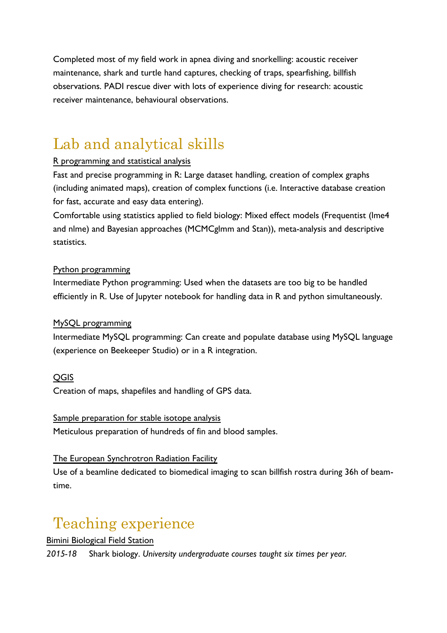Completed most of my field work in apnea diving and snorkelling: acoustic receiver maintenance, shark and turtle hand captures, checking of traps, spearfishing, billfish observations. PADI rescue diver with lots of experience diving for research: acoustic receiver maintenance, behavioural observations.

# Lab and analytical skills

#### R programming and statistical analysis

Fast and precise programming in R: Large dataset handling, creation of complex graphs (including animated maps), creation of complex functions (i.e. Interactive database creation for fast, accurate and easy data entering).

Comfortable using statistics applied to field biology: Mixed effect models (Frequentist (lme4 and nlme) and Bayesian approaches (MCMCglmm and Stan)), meta-analysis and descriptive statistics.

#### Python programming

Intermediate Python programming: Used when the datasets are too big to be handled efficiently in R. Use of Jupyter notebook for handling data in R and python simultaneously.

#### MySQL programming

Intermediate MySQL programming: Can create and populate database using MySQL language (experience on Beekeeper Studio) or in a R integration.

#### QGIS

Creation of maps, shapefiles and handling of GPS data.

Sample preparation for stable isotope analysis Meticulous preparation of hundreds of fin and blood samples.

#### The European Synchrotron Radiation Facility

Use of a beamline dedicated to biomedical imaging to scan billfish rostra during 36h of beamtime.

# Teaching experience

Bimini Biological Field Station

*2015-18* Shark biology. *University undergraduate courses taught six times per year.*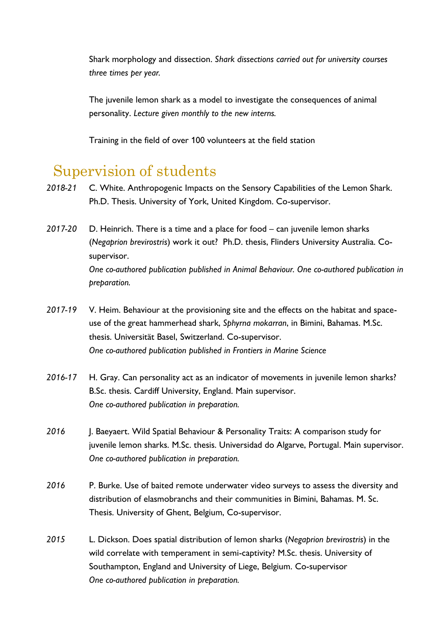Shark morphology and dissection. *Shark dissections carried out for university courses three times per year.*

The juvenile lemon shark as a model to investigate the consequences of animal personality. *Lecture given monthly to the new interns.*

Training in the field of over 100 volunteers at the field station

# Supervision of students

- *2018-21* C. White. Anthropogenic Impacts on the Sensory Capabilities of the Lemon Shark. Ph.D. Thesis. University of York, United Kingdom. Co-supervisor.
- *2017-20* D. Heinrich. There is a time and a place for food can juvenile lemon sharks (*Negaprion brevirostris*) work it out? Ph.D. thesis, Flinders University Australia. Cosupervisor. *One co-authored publication published in Animal Behaviour. One co-authored publication in preparation.*
- *2017-19* V. Heim. Behaviour at the provisioning site and the effects on the habitat and spaceuse of the great hammerhead shark, *Sphyrna mokarran*, in Bimini, Bahamas. M.Sc. thesis. Universität Basel, Switzerland. Co-supervisor. *One co-authored publication published in Frontiers in Marine Science*
- *2016-17* H. Gray. Can personality act as an indicator of movements in juvenile lemon sharks? B.Sc. thesis. Cardiff University, England. Main supervisor. *One co-authored publication in preparation.*
- 2016 **J. Baeyaert. Wild Spatial Behaviour & Personality Traits: A comparison study for** juvenile lemon sharks. M.Sc. thesis. Universidad do Algarve, Portugal. Main supervisor. *One co-authored publication in preparation.*
- *2016* P. Burke. Use of baited remote underwater video surveys to assess the diversity and distribution of elasmobranchs and their communities in Bimini, Bahamas. M. Sc. Thesis. University of Ghent, Belgium, Co-supervisor.
- *2015* L. Dickson. Does spatial distribution of lemon sharks (*Negaprion brevirostris*) in the wild correlate with temperament in semi-captivity? M.Sc. thesis. University of Southampton, England and University of Liege, Belgium. Co-supervisor *One co-authored publication in preparation.*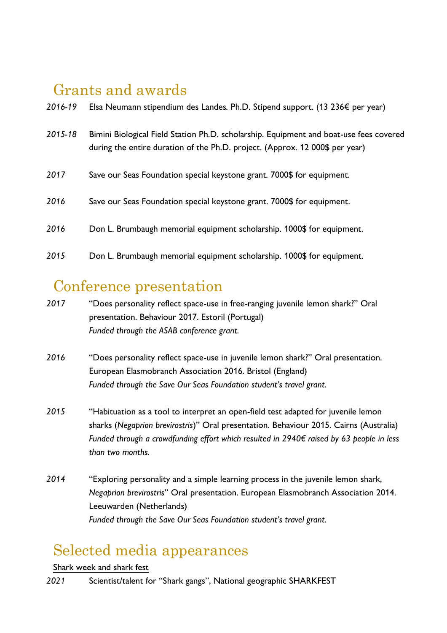# Grants and awards

| 2016-19 | Elsa Neumann stipendium des Landes. Ph.D. Stipend support. (13 236€ per year)                                                                                          |
|---------|------------------------------------------------------------------------------------------------------------------------------------------------------------------------|
| 2015-18 | Bimini Biological Field Station Ph.D. scholarship. Equipment and boat-use fees covered<br>during the entire duration of the Ph.D. project. (Approx. 12 000\$ per year) |
| 2017    | Save our Seas Foundation special keystone grant. 7000\$ for equipment.                                                                                                 |
| 2016    | Save our Seas Foundation special keystone grant. 7000\$ for equipment.                                                                                                 |
| 2016    | Don L. Brumbaugh memorial equipment scholarship. 1000\$ for equipment.                                                                                                 |
| 2015    | Don L. Brumbaugh memorial equipment scholarship. 1000\$ for equipment.                                                                                                 |

### Conference presentation

- *2017* "Does personality reflect space-use in free-ranging juvenile lemon shark?" Oral presentation. Behaviour 2017. Estoril (Portugal) *Funded through the ASAB conference grant.*
- *2016* "Does personality reflect space-use in juvenile lemon shark?" Oral presentation. European Elasmobranch Association 2016. Bristol (England) *Funded through the Save Our Seas Foundation student's travel grant.*
- *2015* "Habituation as a tool to interpret an open-field test adapted for juvenile lemon sharks (*Negaprion brevirostris*)" Oral presentation. Behaviour 2015. Cairns (Australia) *Funded through a crowdfunding effort which resulted in 2940€ raised by 63 people in less than two months.*
- *2014* "Exploring personality and a simple learning process in the juvenile lemon shark, *Negaprion brevirostris*" Oral presentation. European Elasmobranch Association 2014. Leeuwarden (Netherlands) *Funded through the Save Our Seas Foundation student's travel grant.*

# Selected media appearances

#### Shark week and shark fest

*2021* Scientist/talent for "Shark gangs", National geographic SHARKFEST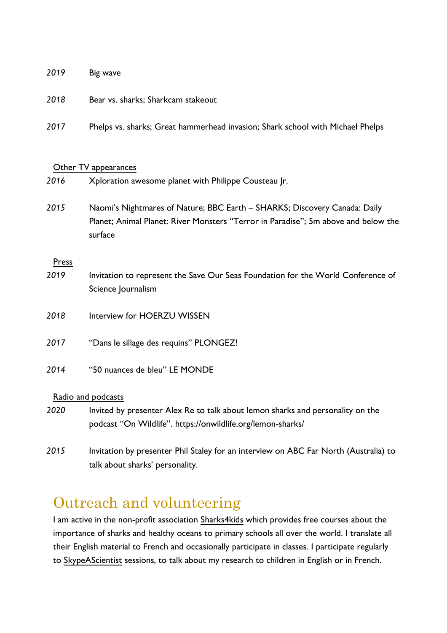#### *2019* Big wave

- *2018* Bear vs. sharks; Sharkcam stakeout
- *2017* Phelps vs. sharks; Great hammerhead invasion; Shark school with Michael Phelps

#### Other TV appearances

- *2016* Xploration awesome planet with Philippe Cousteau Jr.
- *2015* Naomi's Nightmares of Nature; BBC Earth SHARKS; Discovery Canada: Daily Planet; Animal Planet: River Monsters "Terror in Paradise"; 5m above and below the surface

#### Press

- *2019* Invitation to represent the Save Our Seas Foundation for the World Conference of Science Journalism
- *2018* Interview for HOERZU WISSEN
- *2017* "Dans le sillage des requins" PLONGEZ!
- *2014* "50 nuances de bleu" LE MONDE

#### Radio and podcasts

- *2020* Invited by presenter Alex Re to talk about lemon sharks and personality on the podcast "On Wildlife". https://onwildlife.org/lemon-sharks/
- *2015* Invitation by presenter Phil Staley for an interview on ABC Far North (Australia) to talk about sharks' personality.

### Outreach and volunteering

I am active in the non-profit association Sharks4kids which provides free courses about the importance of sharks and healthy oceans to primary schools all over the world. I translate all their English material to French and occasionally participate in classes. I participate regularly to SkypeAScientist sessions, to talk about my research to children in English or in French.